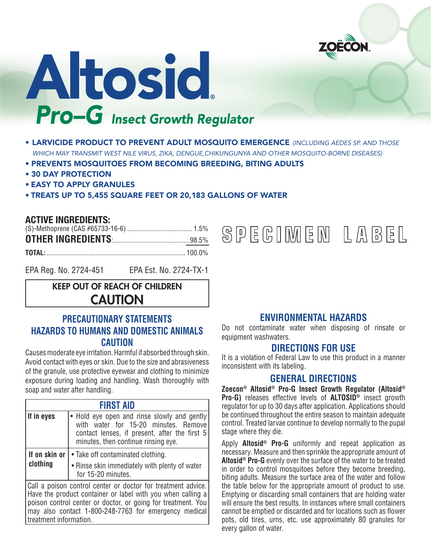

# Altosid. **Pro-G** Insect Growth Regulator

- LARVICIDE PRODUCT TO PREVENT ADULT MOSQUITO EMERGENCE *(INCLUDING AEDES SP. AND THOSE WHICH MAY TRANSMIT WEST NILE VIRUS, ZIKA, DENGUE,CHIKUNGUNYA AND OTHER MOSQUITO-BORNE DISEASES)*
- PREVENTS MOSQUITOES FROM BECOMING BREEDING, BITING ADULTS
- 30 DAY PROTECTION
- EASY TO APPLY GRANULES
- TREATS UP TO 5,455 SQUARE FEET OR 20,183 GALLONS OF WATER

### **ACTIVE INGREDIENTS:**

treatment information.

| <b>OTHER INGREDIENTS</b> [[11] 13.5% |  |
|--------------------------------------|--|
|                                      |  |

EPA Reg. No. 2724-451 EPA Est. No. 2724-TX-1

# KEEP OUT OF REACH OF CHILDREN **CAUTION**

# **PRECAUTIONARY STATEMENTS HAZARDS TO HUMANS AND DOMESTIC ANIMALS CAUTION**

Causes moderate eye irritation. Harmful if absorbed through skin. Avoid contact with eyes or skin. Due to the size and abrasiveness of the granule, use protective eyewear and clothing to minimize exposure during loading and handling. Wash thoroughly with soap and water after handling.

| <b>FIRST AID</b>                                                                                                                                                                                                                                     |                                                                                                                                                                             |  |
|------------------------------------------------------------------------------------------------------------------------------------------------------------------------------------------------------------------------------------------------------|-----------------------------------------------------------------------------------------------------------------------------------------------------------------------------|--|
| If in eyes                                                                                                                                                                                                                                           | • Hold eye open and rinse slowly and gently<br>with water for 15-20 minutes. Remove<br>contact lenses, if present, after the first 5<br>minutes, then continue rinsing eye. |  |
| If on skin or<br>• Take off contaminated clothing.                                                                                                                                                                                                   |                                                                                                                                                                             |  |
| clothing                                                                                                                                                                                                                                             | • Rinse skin immediately with plenty of water<br>for 15-20 minutes.                                                                                                         |  |
| Call a poison control center or doctor for treatment advice.<br>Have the product container or label with you when calling a<br>poison control center or doctor, or going for treatment. You<br>may also contact 1-800-248-7763 for emergency medical |                                                                                                                                                                             |  |

SPEGIMEM LABEL

**ENVIRONMENTAL HAZARDS**

Do not contaminate water when disposing of rinsate or equipment washwaters.

### **DIRECTIONS FOR USE**

It is a violation of Federal Law to use this product in a manner inconsistent with its labeling.

## **GENERAL DIRECTIONS**

**Zoecon® Altosid® Pro-G Insect Growth Regulator (Altosid® Pro-G)** releases effective levels of **ALTOSID®** insect growth regulator for up to 30 days after application. Applications should be continued throughout the entire season to maintain adequate control. Treated larvae continue to develop normally to the pupal stage where they die.

Apply **Altosid® Pro-G** uniformly and repeat application as necessary. Measure and then sprinkle the appropriate amount of **Altosid® Pro-G** evenly over the surface of the water to be treated in order to control mosquitoes before they become breeding, biting adults. Measure the surface area of the water and follow the table below for the appropriate amount of product to use. Emptying or discarding small containers that are holding water will ensure the best results. In instances where small containers cannot be emptied or discarded and for locations such as flower pots, old tires, urns, etc. use approximately 80 granules for every gallon of water.